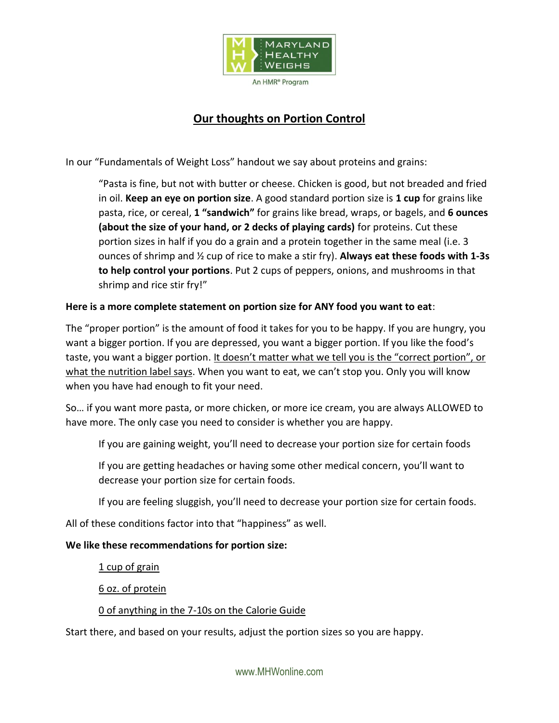

## **Our thoughts on Portion Control**

In our "Fundamentals of Weight Loss" handout we say about proteins and grains:

"Pasta is fine, but not with butter or cheese. Chicken is good, but not breaded and fried in oil. **Keep an eye on portion size**. A good standard portion size is **1 cup** for grains like pasta, rice, or cereal, **1 "sandwich"** for grains like bread, wraps, or bagels, and **6 ounces (about the size of your hand, or 2 decks of playing cards)** for proteins. Cut these portion sizes in half if you do a grain and a protein together in the same meal (i.e. 3 ounces of shrimp and ½ cup of rice to make a stir fry). **Always eat these foods with 1-3s to help control your portions**. Put 2 cups of peppers, onions, and mushrooms in that shrimp and rice stir fry!"

## **Here is a more complete statement on portion size for ANY food you want to eat**:

The "proper portion" is the amount of food it takes for you to be happy. If you are hungry, you want a bigger portion. If you are depressed, you want a bigger portion. If you like the food's taste, you want a bigger portion. It doesn't matter what we tell you is the "correct portion", or what the nutrition label says. When you want to eat, we can't stop you. Only you will know when you have had enough to fit your need.

So… if you want more pasta, or more chicken, or more ice cream, you are always ALLOWED to have more. The only case you need to consider is whether you are happy.

If you are gaining weight, you'll need to decrease your portion size for certain foods

If you are getting headaches or having some other medical concern, you'll want to decrease your portion size for certain foods.

If you are feeling sluggish, you'll need to decrease your portion size for certain foods.

All of these conditions factor into that "happiness" as well.

## **We like these recommendations for portion size:**

1 cup of grain

6 oz. of protein

## 0 of anything in the 7-10s on the Calorie Guide

Start there, and based on your results, adjust the portion sizes so you are happy.